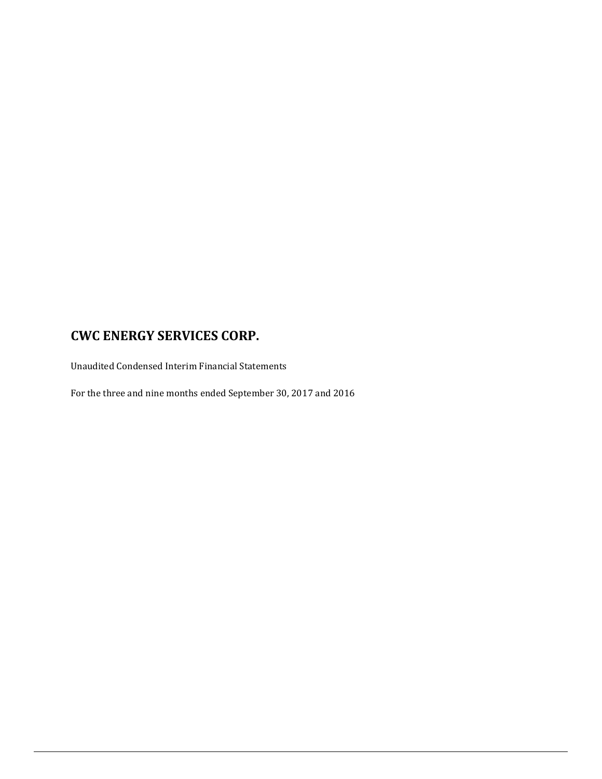Unaudited Condensed Interim Financial Statements

For the three and nine months ended September 30, 2017 and 2016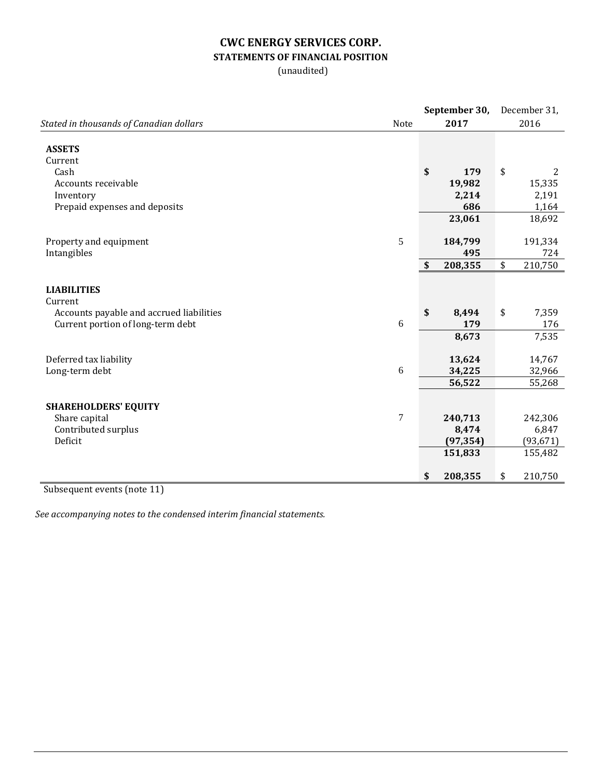## **CWC ENERGY SERVICES CORP. STATEMENTS OF FINANCIAL POSITION**

(unaudited)

|                                          |                  | September 30, | December 31, |             |  |
|------------------------------------------|------------------|---------------|--------------|-------------|--|
| Stated in thousands of Canadian dollars  | Note             | 2017          |              | 2016        |  |
| <b>ASSETS</b>                            |                  |               |              |             |  |
| Current<br>Cash                          |                  | \$<br>179     | \$           |             |  |
| Accounts receivable                      |                  | 19,982        |              | 2<br>15,335 |  |
| Inventory                                |                  | 2,214         |              | 2,191       |  |
| Prepaid expenses and deposits            |                  | 686           |              | 1,164       |  |
|                                          |                  | 23,061        |              | 18,692      |  |
| Property and equipment                   | 5                | 184,799       |              | 191,334     |  |
| Intangibles                              |                  | 495           |              | 724         |  |
|                                          |                  | \$<br>208,355 | \$           | 210,750     |  |
| <b>LIABILITIES</b><br>Current            |                  |               |              |             |  |
| Accounts payable and accrued liabilities |                  | \$<br>8,494   | \$           | 7,359       |  |
| Current portion of long-term debt        | 6                | 179           |              | 176         |  |
|                                          |                  | 8,673         |              | 7,535       |  |
| Deferred tax liability                   |                  | 13,624        |              | 14,767      |  |
| Long-term debt                           | 6                | 34,225        |              | 32,966      |  |
|                                          |                  | 56,522        |              | 55,268      |  |
| <b>SHAREHOLDERS' EQUITY</b>              |                  |               |              |             |  |
| Share capital                            | $\boldsymbol{7}$ | 240,713       |              | 242,306     |  |
| Contributed surplus                      |                  | 8,474         |              | 6,847       |  |
| Deficit                                  |                  | (97, 354)     |              | (93, 671)   |  |
|                                          |                  | 151,833       |              | 155,482     |  |
|                                          |                  | \$<br>208,355 | \$           | 210,750     |  |

Subsequent events (note 11)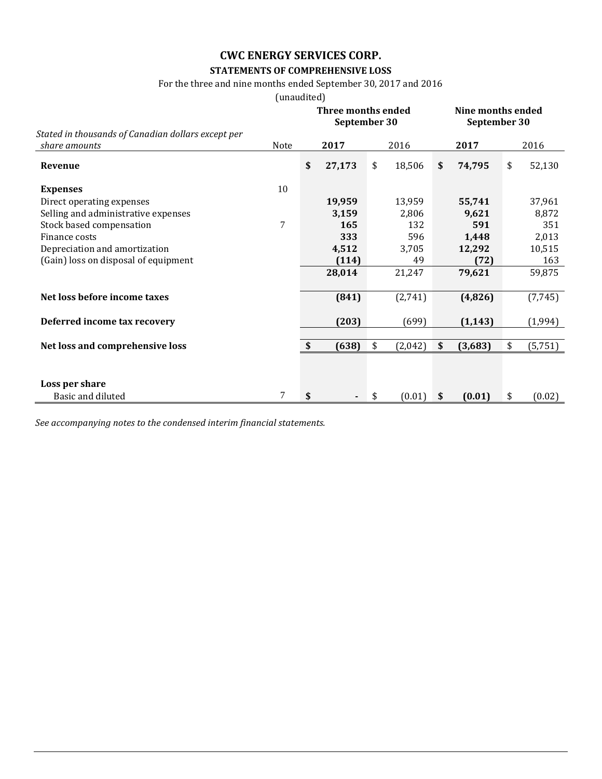# **STATEMENTS OF COMPREHENSIVE LOSS**

### For the three and nine months ended September 30, 2017 and 2016

(unaudited)

|                                                                     |      | Three months ended<br>September 30 |        |    |         |    | Nine months ended<br>September 30 |    |          |  |
|---------------------------------------------------------------------|------|------------------------------------|--------|----|---------|----|-----------------------------------|----|----------|--|
| Stated in thousands of Canadian dollars except per<br>share amounts | Note |                                    | 2017   |    | 2016    |    | 2017                              |    | 2016     |  |
| Revenue                                                             |      | \$                                 | 27,173 | \$ | 18,506  | \$ | 74,795                            | \$ | 52,130   |  |
| <b>Expenses</b>                                                     | 10   |                                    |        |    |         |    |                                   |    |          |  |
| Direct operating expenses                                           |      |                                    | 19,959 |    | 13,959  |    | 55,741                            |    | 37,961   |  |
| Selling and administrative expenses                                 |      |                                    | 3,159  |    | 2,806   |    | 9,621                             |    | 8,872    |  |
| Stock based compensation                                            | 7    |                                    | 165    |    | 132     |    | 591                               |    | 351      |  |
| Finance costs                                                       |      |                                    | 333    |    | 596     |    | 1,448                             |    | 2,013    |  |
| Depreciation and amortization                                       |      |                                    | 4,512  |    | 3,705   |    | 12,292                            |    | 10,515   |  |
| (Gain) loss on disposal of equipment                                |      |                                    | (114)  |    | 49      |    | (72)                              |    | 163      |  |
|                                                                     |      |                                    | 28,014 |    | 21,247  |    | 79,621                            |    | 59,875   |  |
| Net loss before income taxes                                        |      |                                    | (841)  |    | (2,741) |    | (4,826)                           |    | (7, 745) |  |
| Deferred income tax recovery                                        |      |                                    | (203)  |    | (699)   |    | (1, 143)                          |    | (1,994)  |  |
|                                                                     |      | \$                                 | (638)  | \$ |         | \$ |                                   | \$ |          |  |
| Net loss and comprehensive loss                                     |      |                                    |        |    | (2,042) |    | (3,683)                           |    | (5, 751) |  |
|                                                                     |      |                                    |        |    |         |    |                                   |    |          |  |
| Loss per share                                                      |      |                                    |        |    |         |    |                                   |    |          |  |
| Basic and diluted                                                   | 7    | \$                                 | ٠      | \$ | (0.01)  | \$ | (0.01)                            | \$ | (0.02)   |  |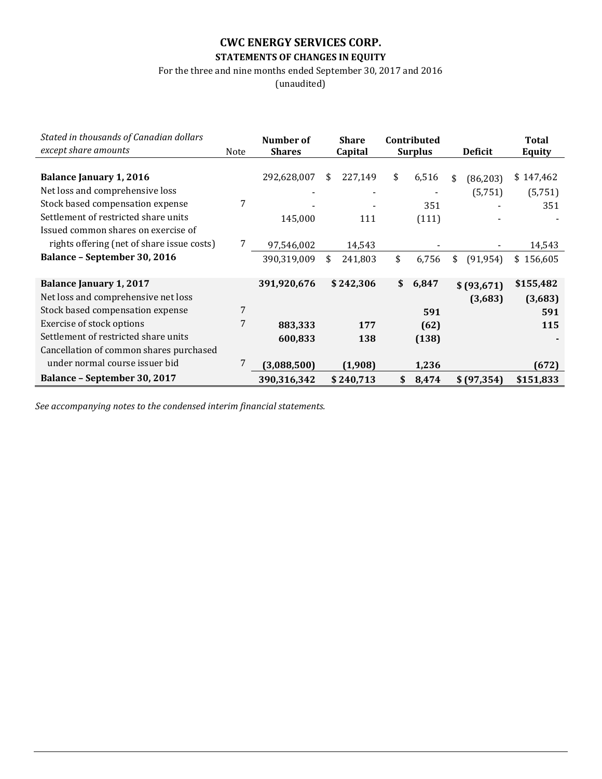# **CWC ENERGY SERVICES CORP. STATEMENTS OF CHANGES IN EQUITY**

For the three and nine months ended September 30, 2017 and 2016

(unaudited)

| Stated in thousands of Canadian dollars    |      | Number of     |    | <b>Share</b> |    | Contributed    |                |              | <b>Total</b>  |
|--------------------------------------------|------|---------------|----|--------------|----|----------------|----------------|--------------|---------------|
| except share amounts                       | Note | <b>Shares</b> |    | Capital      |    | <b>Surplus</b> | <b>Deficit</b> |              | <b>Equity</b> |
|                                            |      |               |    |              |    |                |                |              |               |
| <b>Balance January 1, 2016</b>             |      | 292,628,007   | \$ | 227,149      | \$ | 6,516          | \$             | (86, 203)    | \$147,462     |
| Net loss and comprehensive loss            |      |               |    |              |    |                |                | (5,751)      | (5,751)       |
| Stock based compensation expense           | 7    |               |    |              |    | 351            |                |              | 351           |
| Settlement of restricted share units       |      | 145,000       |    | 111          |    | (111)          |                |              |               |
| Issued common shares on exercise of        |      |               |    |              |    |                |                |              |               |
| rights offering (net of share issue costs) |      | 97,546,002    |    | 14,543       |    |                |                |              | 14,543        |
| <b>Balance - September 30, 2016</b>        |      | 390,319,009   | \$ | 241,803      | \$ | 6,756          | \$             | (91, 954)    | \$156,605     |
|                                            |      |               |    |              |    |                |                |              |               |
| <b>Balance January 1, 2017</b>             |      | 391,920,676   |    | \$242,306    | \$ | 6,847          |                | \$(93,671)   | \$155,482     |
| Net loss and comprehensive net loss        |      |               |    |              |    |                |                | (3,683)      | (3,683)       |
| Stock based compensation expense           | 7    |               |    |              |    | 591            |                |              | 591           |
| Exercise of stock options                  | 7    | 883,333       |    | 177          |    | (62)           |                |              | 115           |
| Settlement of restricted share units       |      | 600,833       |    | 138          |    | (138)          |                |              |               |
| Cancellation of common shares purchased    |      |               |    |              |    |                |                |              |               |
| under normal course issuer bid             |      | (3,088,500)   |    | (1.908)      |    | 1,236          |                |              | (672)         |
| Balance - September 30, 2017               |      | 390,316,342   |    | \$240,713    | \$ | 8,474          |                | \$ (97, 354) | \$151,833     |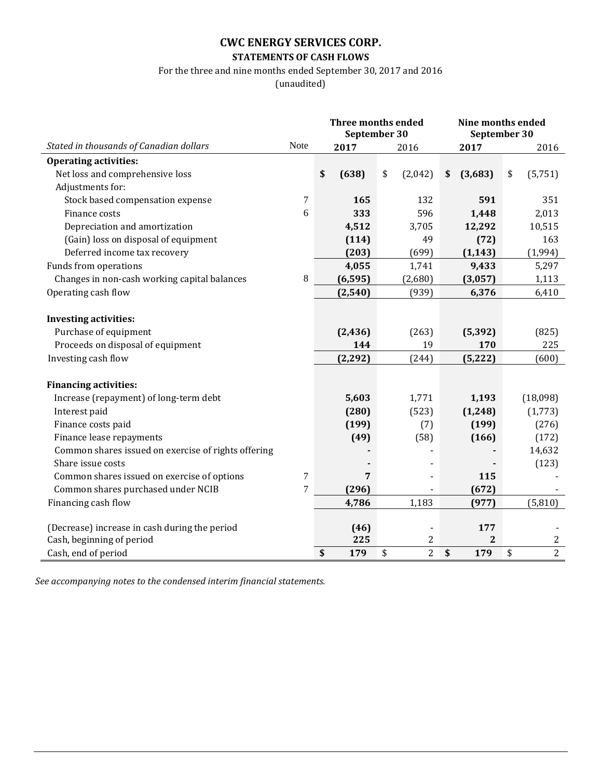### **STATEMENTS OF CASH FLOWS**

# For the three and nine months ended September 30, 2017 and 2016

(unaudited)

|                                                            |      | <b>Three months ended</b><br>September 30 |                 |                      | Nine months ended | September 30         |
|------------------------------------------------------------|------|-------------------------------------------|-----------------|----------------------|-------------------|----------------------|
| Stated in thousands of Canadian dollars                    | Note |                                           | 2017            | 2016                 | 2017              | 2016                 |
| <b>Operating activities:</b>                               |      |                                           |                 |                      |                   |                      |
| Net loss and comprehensive loss                            |      | \$                                        | (638)           | \$<br>(2,042)        | (3,683)<br>\$     | \$<br>(5,751)        |
| Adjustments for:                                           |      |                                           |                 |                      |                   |                      |
| Stock based compensation expense                           | 7    |                                           | 165             | 132                  | 591               | 351                  |
| Finance costs                                              | 6    |                                           | 333             | 596                  | 1,448             | 2,013                |
| Depreciation and amortization                              |      |                                           | 4,512           | 3,705                | 12,292            | 10,515               |
| (Gain) loss on disposal of equipment                       |      |                                           | (114)           | 49                   | (72)              | 163                  |
| Deferred income tax recovery                               |      |                                           | (203)           | (699)                | (1, 143)          | (1,994)              |
| Funds from operations                                      |      |                                           | 4,055           | 1,741                | 9,433             | 5,297                |
| Changes in non-cash working capital balances               | 8    |                                           | (6, 595)        | (2,680)              | (3,057)           | 1,113                |
| Operating cash flow                                        |      |                                           | (2, 540)        | (939)                | 6,376             | 6,410                |
|                                                            |      |                                           |                 |                      |                   |                      |
| <b>Investing activities:</b>                               |      |                                           |                 |                      |                   |                      |
| Purchase of equipment<br>Proceeds on disposal of equipment |      |                                           | (2, 436)<br>144 | (263)<br>19          | (5, 392)<br>170   | (825)<br>225         |
|                                                            |      |                                           |                 |                      |                   |                      |
| Investing cash flow                                        |      |                                           | (2, 292)        | (244)                | (5, 222)          | (600)                |
| <b>Financing activities:</b>                               |      |                                           |                 |                      |                   |                      |
| Increase (repayment) of long-term debt                     |      |                                           | 5,603           | 1,771                | 1,193             | (18,098)             |
| Interest paid                                              |      |                                           | (280)           | (523)                | (1, 248)          | (1,773)              |
| Finance costs paid                                         |      |                                           | (199)           | (7)                  | (199)             | (276)                |
| Finance lease repayments                                   |      |                                           | (49)            | (58)                 | (166)             | (172)                |
| Common shares issued on exercise of rights offering        |      |                                           |                 |                      |                   | 14,632               |
| Share issue costs                                          |      |                                           |                 |                      |                   | (123)                |
| Common shares issued on exercise of options                | 7    |                                           | 7               |                      | 115               |                      |
| Common shares purchased under NCIB                         | 7    |                                           | (296)           |                      | (672)             |                      |
| Financing cash flow                                        |      |                                           | 4,786           | 1,183                | (977)             | (5,810)              |
|                                                            |      |                                           |                 |                      |                   |                      |
| (Decrease) increase in cash during the period              |      |                                           | (46)            |                      | 177               |                      |
| Cash, beginning of period                                  |      |                                           | 225             | $\overline{c}$       | $\mathbf{2}$      | $\mathbf{2}$         |
| Cash, end of period                                        |      | \$                                        | 179             | $\overline{2}$<br>\$ | \$<br>179         | $\overline{2}$<br>\$ |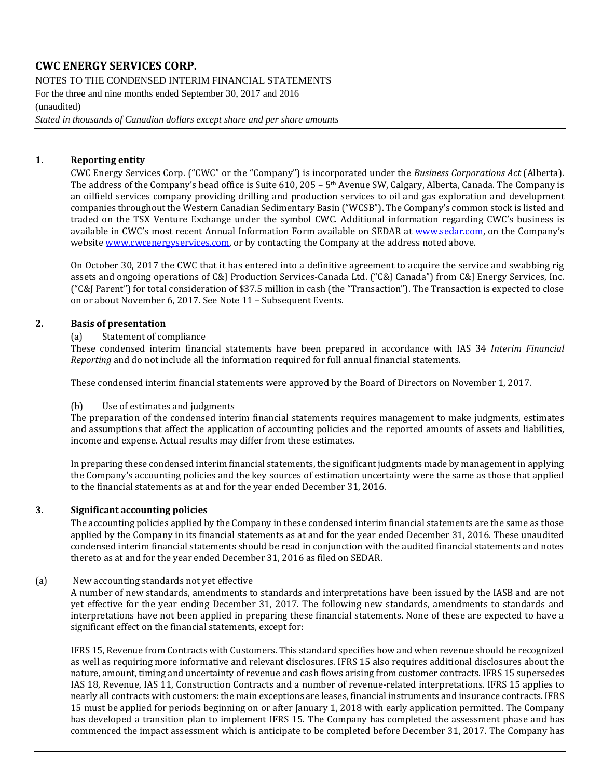NOTES TO THE CONDENSED INTERIM FINANCIAL STATEMENTS For the three and nine months ended September 30, 2017 and 2016 (unaudited) *Stated in thousands of Canadian dollars except share and per share amounts*

#### **1. Reporting entity**

CWC Energy Services Corp. ("CWC" or the "Company") is incorporated under the *Business Corporations Act* (Alberta). The address of the Company's head office is Suite 610, 205 – 5th Avenue SW, Calgary, Alberta, Canada. The Company is an oilfield services company providing drilling and production services to oil and gas exploration and development companies throughout the Western Canadian Sedimentary Basin ("WCSB"). The Company's common stock is listed and traded on the TSX Venture Exchange under the symbol CWC. Additional information regarding CWC's business is available in CWC's most recent Annual Information Form available on SEDAR at [www.sedar.com,](http://www.sedar.com/) on the Company's websit[e www.cwcenergyservices.com,](http://www.cwcenergyservices.com/) or by contacting the Company at the address noted above.

On October 30, 2017 the CWC that it has entered into a definitive agreement to acquire the service and swabbing rig assets and ongoing operations of C&J Production Services-Canada Ltd. ("C&J Canada") from C&J Energy Services, Inc. ("C&J Parent") for total consideration of \$37.5 million in cash (the "Transaction"). The Transaction is expected to close on or about November 6, 2017. See Note 11 – Subsequent Events.

#### **2. Basis of presentation**

(a) Statement of compliance

These condensed interim financial statements have been prepared in accordance with IAS 34 *Interim Financial Reporting* and do not include all the information required for full annual financial statements.

These condensed interim financial statements were approved by the Board of Directors on November 1, 2017.

#### (b) Use of estimates and judgments

The preparation of the condensed interim financial statements requires management to make judgments, estimates and assumptions that affect the application of accounting policies and the reported amounts of assets and liabilities, income and expense. Actual results may differ from these estimates.

In preparing these condensed interim financial statements, the significant judgments made by management in applying the Company's accounting policies and the key sources of estimation uncertainty were the same as those that applied to the financial statements as at and for the year ended December 31, 2016.

#### **3. Significant accounting policies**

The accounting policies applied by the Company in these condensed interim financial statements are the same as those applied by the Company in its financial statements as at and for the year ended December 31, 2016. These unaudited condensed interim financial statements should be read in conjunction with the audited financial statements and notes thereto as at and for the year ended December 31, 2016 as filed on SEDAR.

#### (a) New accounting standards not yet effective

A number of new standards, amendments to standards and interpretations have been issued by the IASB and are not yet effective for the year ending December 31, 2017. The following new standards, amendments to standards and interpretations have not been applied in preparing these financial statements. None of these are expected to have a significant effect on the financial statements, except for:

IFRS 15, Revenue from Contracts with Customers. This standard specifies how and when revenue should be recognized as well as requiring more informative and relevant disclosures. IFRS 15 also requires additional disclosures about the nature, amount, timing and uncertainty of revenue and cash flows arising from customer contracts. IFRS 15 supersedes IAS 18, Revenue, IAS 11, Construction Contracts and a number of revenue-related interpretations. IFRS 15 applies to nearly all contracts with customers: the main exceptions are leases, financial instruments and insurance contracts. IFRS 15 must be applied for periods beginning on or after January 1, 2018 with early application permitted. The Company has developed a transition plan to implement IFRS 15. The Company has completed the assessment phase and has commenced the impact assessment which is anticipate to be completed before December 31, 2017. The Company has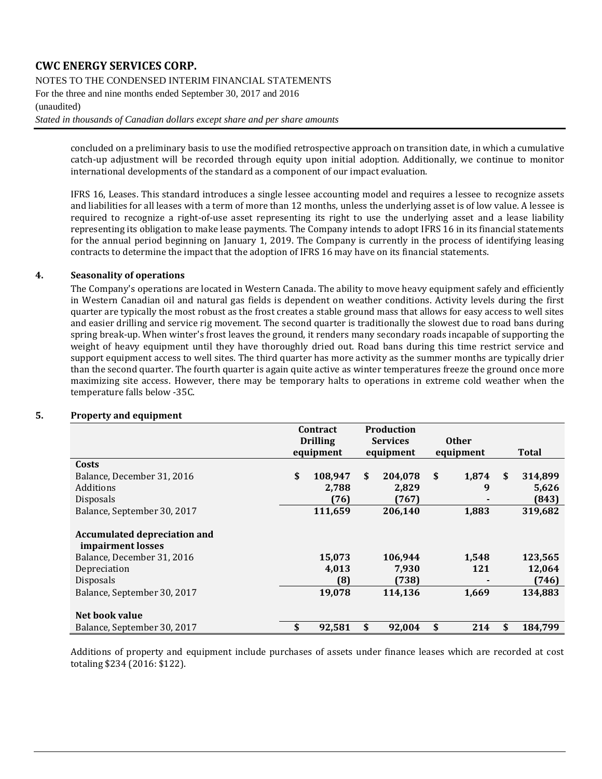NOTES TO THE CONDENSED INTERIM FINANCIAL STATEMENTS

For the three and nine months ended September 30, 2017 and 2016

(unaudited)

*Stated in thousands of Canadian dollars except share and per share amounts*

concluded on a preliminary basis to use the modified retrospective approach on transition date, in which a cumulative catch-up adjustment will be recorded through equity upon initial adoption. Additionally, we continue to monitor international developments of the standard as a component of our impact evaluation.

IFRS 16, Leases. This standard introduces a single lessee accounting model and requires a lessee to recognize assets and liabilities for all leases with a term of more than 12 months, unless the underlying asset is of low value. A lessee is required to recognize a right-of-use asset representing its right to use the underlying asset and a lease liability representing its obligation to make lease payments. The Company intends to adopt IFRS 16 in its financial statements for the annual period beginning on January 1, 2019. The Company is currently in the process of identifying leasing contracts to determine the impact that the adoption of IFRS 16 may have on its financial statements.

### **4. Seasonality of operations**

The Company's operations are located in Western Canada. The ability to move heavy equipment safely and efficiently in Western Canadian oil and natural gas fields is dependent on weather conditions. Activity levels during the first quarter are typically the most robust as the frost creates a stable ground mass that allows for easy access to well sites and easier drilling and service rig movement. The second quarter is traditionally the slowest due to road bans during spring break-up. When winter's frost leaves the ground, it renders many secondary roads incapable of supporting the weight of heavy equipment until they have thoroughly dried out. Road bans during this time restrict service and support equipment access to well sites. The third quarter has more activity as the summer months are typically drier than the second quarter. The fourth quarter is again quite active as winter temperatures freeze the ground once more maximizing site access. However, there may be temporary halts to operations in extreme cold weather when the temperature falls below -35C.

|                                     |    | Contract<br><b>Drilling</b> |    | <b>Production</b> |              |               |
|-------------------------------------|----|-----------------------------|----|-------------------|--------------|---------------|
|                                     |    |                             |    | <b>Services</b>   | <b>Other</b> |               |
|                                     |    | equipment                   |    | equipment         | equipment    | Total         |
| Costs                               |    |                             |    |                   |              |               |
| Balance, December 31, 2016          | \$ | 108,947                     | \$ | 204,078           | \$<br>1,874  | \$<br>314,899 |
| Additions                           |    | 2,788                       |    | 2,829             | 9            | 5,626         |
| Disposals                           |    | (76)                        |    | (767)             |              | (843)         |
| Balance, September 30, 2017         |    | 111,659                     |    | 206,140           | 1,883        | 319,682       |
| <b>Accumulated depreciation and</b> |    |                             |    |                   |              |               |
| impairment losses                   |    |                             |    |                   |              |               |
| Balance, December 31, 2016          |    | 15,073                      |    | 106,944           | 1,548        | 123,565       |
| Depreciation                        |    | 4,013                       |    | 7,930             | 121          | 12,064        |
| Disposals                           |    | (8)                         |    | (738)             |              | (746)         |
| Balance, September 30, 2017         |    | 19,078                      |    | 114,136           | 1,669        | 134,883       |
| Net book value                      |    |                             |    |                   |              |               |
| Balance, September 30, 2017         | \$ | 92,581                      | \$ | 92,004            | \$<br>214    | \$<br>184,799 |

### **5. Property and equipment**

Additions of property and equipment include purchases of assets under finance leases which are recorded at cost totaling \$234 (2016: \$122).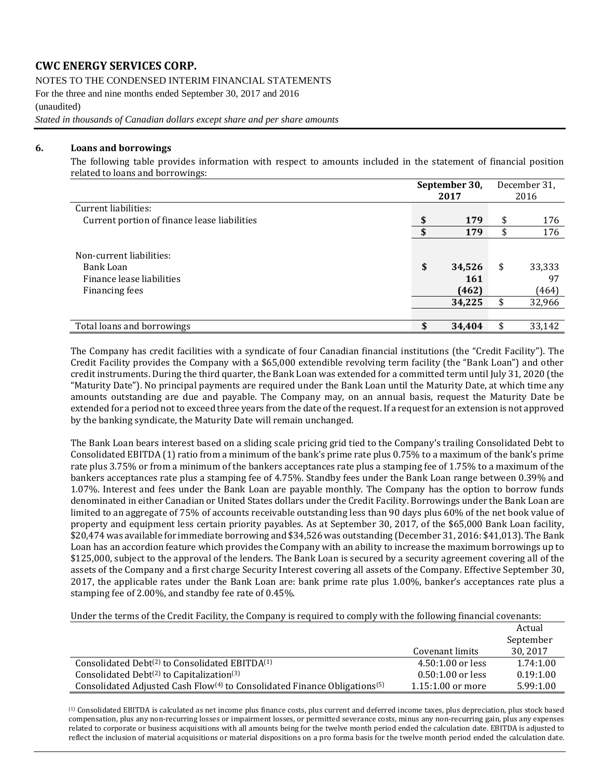NOTES TO THE CONDENSED INTERIM FINANCIAL STATEMENTS

For the three and nine months ended September 30, 2017 and 2016 (unaudited)

*Stated in thousands of Canadian dollars except share and per share amounts*

#### **6. Loans and borrowings**

The following table provides information with respect to amounts included in the statement of financial position related to loans and borrowings:

|                                                                                      | September 30,<br>2017                  | December 31,<br>2016                  |
|--------------------------------------------------------------------------------------|----------------------------------------|---------------------------------------|
| Current liabilities:                                                                 |                                        |                                       |
| Current portion of finance lease liabilities                                         | 179                                    | \$<br>176                             |
|                                                                                      | 179                                    | \$<br>176                             |
| Non-current liabilities:<br>Bank Loan<br>Finance lease liabilities<br>Financing fees | \$<br>34,526<br>161<br>(462)<br>34,225 | \$<br>33,333<br>97<br>(464)<br>32,966 |
| Total loans and borrowings                                                           | 34,404                                 | 33,142                                |

The Company has credit facilities with a syndicate of four Canadian financial institutions (the "Credit Facility"). The Credit Facility provides the Company with a \$65,000 extendible revolving term facility (the "Bank Loan") and other credit instruments. During the third quarter, the Bank Loan was extended for a committed term until July 31, 2020 (the "Maturity Date"). No principal payments are required under the Bank Loan until the Maturity Date, at which time any amounts outstanding are due and payable. The Company may, on an annual basis, request the Maturity Date be extended for a period not to exceed three years from the date of the request. If a request for an extension is not approved by the banking syndicate, the Maturity Date will remain unchanged.

The Bank Loan bears interest based on a sliding scale pricing grid tied to the Company's trailing Consolidated Debt to Consolidated EBITDA (1) ratio from a minimum of the bank's prime rate plus 0.75% to a maximum of the bank's prime rate plus 3.75% or from a minimum of the bankers acceptances rate plus a stamping fee of 1.75% to a maximum of the bankers acceptances rate plus a stamping fee of 4.75%. Standby fees under the Bank Loan range between 0.39% and 1.07%. Interest and fees under the Bank Loan are payable monthly. The Company has the option to borrow funds denominated in either Canadian or United States dollars under the Credit Facility. Borrowings under the Bank Loan are limited to an aggregate of 75% of accounts receivable outstanding less than 90 days plus 60% of the net book value of property and equipment less certain priority payables. As at September 30, 2017, of the \$65,000 Bank Loan facility, \$20,474 was available for immediate borrowing and \$34,526 was outstanding (December 31, 2016: \$41,013). The Bank Loan has an accordion feature which provides the Company with an ability to increase the maximum borrowings up to \$125,000, subject to the approval of the lenders. The Bank Loan is secured by a security agreement covering all of the assets of the Company and a first charge Security Interest covering all assets of the Company. Effective September 30, 2017, the applicable rates under the Bank Loan are: bank prime rate plus 1.00%, banker's acceptances rate plus a stamping fee of 2.00%, and standby fee rate of 0.45%.

Under the terms of the Credit Facility, the Company is required to comply with the following financial covenants:

|                                                                                                   |                     | Actual    |
|---------------------------------------------------------------------------------------------------|---------------------|-----------|
|                                                                                                   |                     | September |
|                                                                                                   | Covenant limits     | 30, 2017  |
| Consolidated Debt <sup>(2)</sup> to Consolidated EBITDA <sup>(1)</sup>                            | $4.50:1.00$ or less | 1.74:1.00 |
| Consolidated Debt <sup>(2)</sup> to Capitalization <sup>(3)</sup>                                 | $0.50:1.00$ or less | 0.19:1.00 |
| Consolidated Adjusted Cash Flow <sup>(4)</sup> to Consolidated Finance Obligations <sup>(5)</sup> | $1.15:1.00$ or more | 5.99:1.00 |

(1) Consolidated EBITDA is calculated as net income plus finance costs, plus current and deferred income taxes, plus depreciation, plus stock based compensation, plus any non-recurring losses or impairment losses, or permitted severance costs, minus any non-recurring gain, plus any expenses related to corporate or business acquisitions with all amounts being for the twelve month period ended the calculation date. EBITDA is adjusted to reflect the inclusion of material acquisitions or material dispositions on a pro forma basis for the twelve month period ended the calculation date.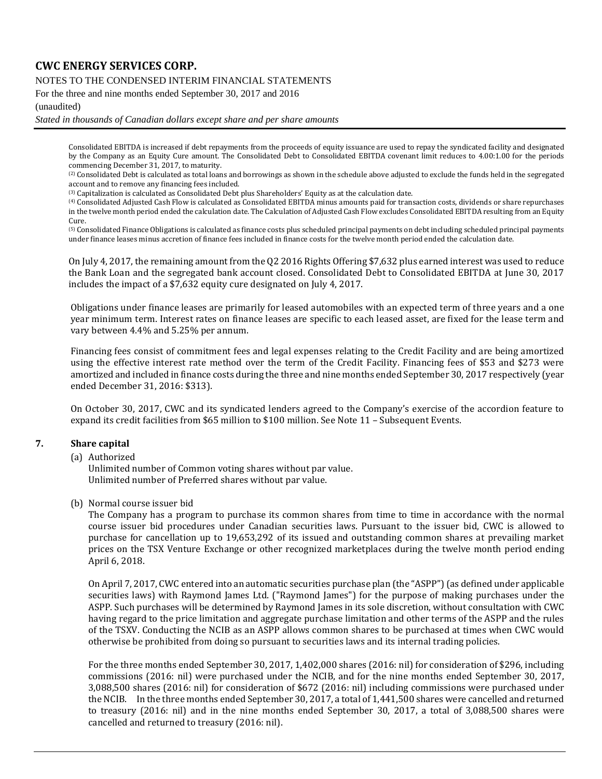NOTES TO THE CONDENSED INTERIM FINANCIAL STATEMENTS

For the three and nine months ended September 30, 2017 and 2016

(unaudited)

*Stated in thousands of Canadian dollars except share and per share amounts*

Consolidated EBITDA is increased if debt repayments from the proceeds of equity issuance are used to repay the syndicated facility and designated by the Company as an Equity Cure amount. The Consolidated Debt to Consolidated EBITDA covenant limit reduces to 4.00:1.00 for the periods commencing December 31, 2017, to maturity.

(2) Consolidated Debt is calculated as total loans and borrowings as shown in the schedule above adjusted to exclude the funds held in the segregated account and to remove any financing fees included.

(3) Capitalization is calculated as Consolidated Debt plus Shareholders' Equity as at the calculation date.

(4) Consolidated Adjusted Cash Flow is calculated as Consolidated EBITDA minus amounts paid for transaction costs, dividends or share repurchases in the twelve month period ended the calculation date. The Calculation of Adjusted Cash Flow excludes Consolidated EBITDA resulting from an Equity Cure.

(5) Consolidated Finance Obligations is calculated as finance costs plus scheduled principal payments on debt including scheduled principal payments under finance leases minus accretion of finance fees included in finance costs for the twelve month period ended the calculation date.

On July 4, 2017, the remaining amount from the Q2 2016 Rights Offering \$7,632 plus earned interest was used to reduce the Bank Loan and the segregated bank account closed. Consolidated Debt to Consolidated EBITDA at June 30, 2017 includes the impact of a \$7,632 equity cure designated on July 4, 2017.

Obligations under finance leases are primarily for leased automobiles with an expected term of three years and a one year minimum term. Interest rates on finance leases are specific to each leased asset, are fixed for the lease term and vary between 4.4% and 5.25% per annum.

Financing fees consist of commitment fees and legal expenses relating to the Credit Facility and are being amortized using the effective interest rate method over the term of the Credit Facility. Financing fees of \$53 and \$273 were amortized and included in finance costs during the three and nine months ended September 30, 2017 respectively (year ended December 31, 2016: \$313).

On October 30, 2017, CWC and its syndicated lenders agreed to the Company's exercise of the accordion feature to expand its credit facilities from \$65 million to \$100 million. See Note 11 – Subsequent Events.

#### **7. Share capital**

(a) Authorized

Unlimited number of Common voting shares without par value. Unlimited number of Preferred shares without par value.

(b) Normal course issuer bid

The Company has a program to purchase its common shares from time to time in accordance with the normal course issuer bid procedures under Canadian securities laws. Pursuant to the issuer bid, CWC is allowed to purchase for cancellation up to 19,653,292 of its issued and outstanding common shares at prevailing market prices on the TSX Venture Exchange or other recognized marketplaces during the twelve month period ending April 6, 2018.

On April 7, 2017, CWC entered into an automatic securities purchase plan (the "ASPP") (as defined under applicable securities laws) with Raymond James Ltd. ("Raymond James") for the purpose of making purchases under the ASPP. Such purchases will be determined by Raymond James in its sole discretion, without consultation with CWC having regard to the price limitation and aggregate purchase limitation and other terms of the ASPP and the rules of the TSXV. Conducting the NCIB as an ASPP allows common shares to be purchased at times when CWC would otherwise be prohibited from doing so pursuant to securities laws and its internal trading policies.

For the three months ended September 30, 2017, 1,402,000 shares (2016: nil) for consideration of \$296, including commissions (2016: nil) were purchased under the NCIB, and for the nine months ended September 30, 2017, 3,088,500 shares (2016: nil) for consideration of \$672 (2016: nil) including commissions were purchased under the NCIB. In the three months ended September 30, 2017, a total of 1,441,500 shares were cancelled and returned to treasury (2016: nil) and in the nine months ended September 30, 2017, a total of 3,088,500 shares were cancelled and returned to treasury (2016: nil).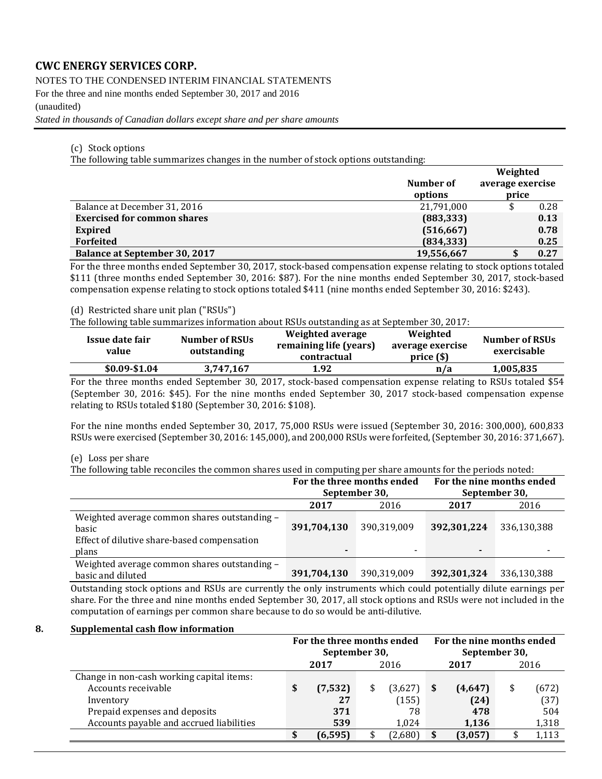NOTES TO THE CONDENSED INTERIM FINANCIAL STATEMENTS

For the three and nine months ended September 30, 2017 and 2016

(unaudited)

*Stated in thousands of Canadian dollars except share and per share amounts*

#### (c) Stock options

The following table summarizes changes in the number of stock options outstanding:

|                                      | Number of<br>options | Weighted<br>average exercise<br>price |      |
|--------------------------------------|----------------------|---------------------------------------|------|
| Balance at December 31, 2016         | 21,791,000           |                                       | 0.28 |
| <b>Exercised for common shares</b>   | (883, 333)           |                                       | 0.13 |
| <b>Expired</b>                       | (516, 667)           |                                       | 0.78 |
| <b>Forfeited</b>                     | (834, 333)           |                                       | 0.25 |
| <b>Balance at September 30, 2017</b> | 19,556,667           | ⊅                                     | 0.27 |

For the three months ended September 30, 2017, stock-based compensation expense relating to stock options totaled \$111 (three months ended September 30, 2016: \$87). For the nine months ended September 30, 2017, stock-based compensation expense relating to stock options totaled \$411 (nine months ended September 30, 2016: \$243).

#### (d) Restricted share unit plan ("RSUs")

The following table summarizes information about RSUs outstanding as at September 30, 2017:

| Issue date fair<br>value | <b>Number of RSUs</b><br>outstanding | Weighted average<br>remaining life (years)<br>contractual | Weighted<br>average exercise<br>price( <sub>s</sub> ) | <b>Number of RSUs</b><br>exercisable |
|--------------------------|--------------------------------------|-----------------------------------------------------------|-------------------------------------------------------|--------------------------------------|
| \$0.09-\$1.04            | 3,747,167                            | 1.92                                                      | n/a                                                   | 1,005,835                            |

For the three months ended September 30, 2017, stock-based compensation expense relating to RSUs totaled \$54 (September 30, 2016: \$45). For the nine months ended September 30, 2017 stock-based compensation expense relating to RSUs totaled \$180 (September 30, 2016: \$108).

For the nine months ended September 30, 2017, 75,000 RSUs were issued (September 30, 2016: 300,000), 600,833 RSUs were exercised (September 30, 2016: 145,000), and 200,000 RSUs were forfeited, (September 30, 2016: 371,667).

#### (e) Loss per share

The following table reconciles the common shares used in computing per share amounts for the periods noted:

|                                              |               | For the three months ended | For the nine months ended |             |  |  |  |
|----------------------------------------------|---------------|----------------------------|---------------------------|-------------|--|--|--|
|                                              | September 30, |                            | September 30,             |             |  |  |  |
|                                              | 2017          | 2016                       | 2017                      | 2016        |  |  |  |
| Weighted average common shares outstanding - |               |                            |                           |             |  |  |  |
| basic                                        | 391,704,130   | 390,319,009                | 392,301,224               | 336,130,388 |  |  |  |
| Effect of dilutive share-based compensation  |               |                            |                           |             |  |  |  |
| plans                                        |               | $\overline{\phantom{0}}$   |                           |             |  |  |  |
| Weighted average common shares outstanding - |               |                            |                           |             |  |  |  |
| basic and diluted                            | 391,704,130   | 390,319,009                | 392,301,324               | 336,130,388 |  |  |  |

Outstanding stock options and RSUs are currently the only instruments which could potentially dilute earnings per share. For the three and nine months ended September 30, 2017, all stock options and RSUs were not included in the computation of earnings per common share because to do so would be anti-dilutive.

#### **8. Supplemental cash flow information**

|                                           | For the three months ended<br>September 30, |              |    |         |   | For the nine months ended<br>September 30, |      |       |  |
|-------------------------------------------|---------------------------------------------|--------------|----|---------|---|--------------------------------------------|------|-------|--|
|                                           |                                             | 2016<br>2017 |    |         |   | 2017                                       | 2016 |       |  |
| Change in non-cash working capital items: |                                             |              |    |         |   |                                            |      |       |  |
| Accounts receivable                       | \$                                          | (7,532)      | \$ | (3,627) | S | (4,647)                                    |      | (672) |  |
| Inventory                                 |                                             | 27           |    | (155)   |   | (24)                                       |      | (37)  |  |
| Prepaid expenses and deposits             |                                             | 371          |    | 78      |   | 478                                        |      | 504   |  |
| Accounts payable and accrued liabilities  |                                             | 539          |    | 1.024   |   | 1,136                                      |      | 1,318 |  |
|                                           |                                             | (6, 595)     |    | (2,680) |   | (3,057)                                    |      | 1,113 |  |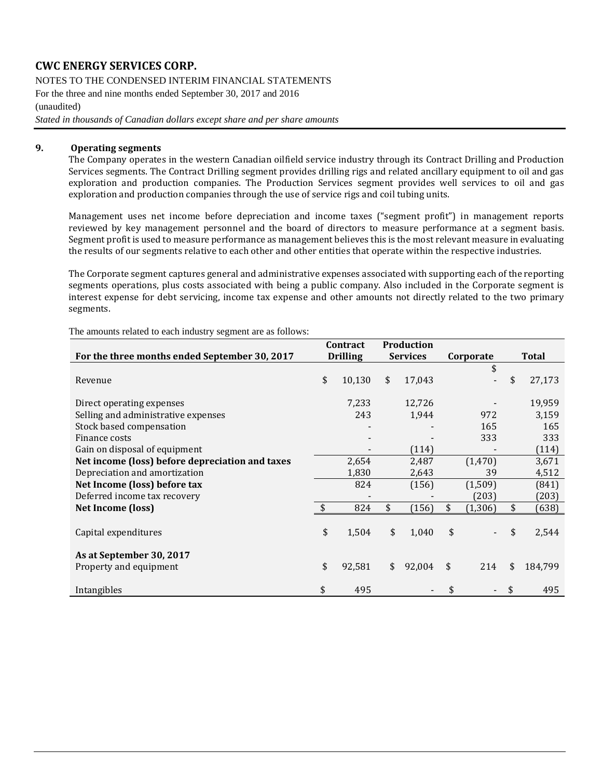NOTES TO THE CONDENSED INTERIM FINANCIAL STATEMENTS For the three and nine months ended September 30, 2017 and 2016 (unaudited) *Stated in thousands of Canadian dollars except share and per share amounts*

#### **9. Operating segments**

The Company operates in the western Canadian oilfield service industry through its Contract Drilling and Production Services segments. The Contract Drilling segment provides drilling rigs and related ancillary equipment to oil and gas exploration and production companies. The Production Services segment provides well services to oil and gas exploration and production companies through the use of service rigs and coil tubing units.

Management uses net income before depreciation and income taxes ("segment profit") in management reports reviewed by key management personnel and the board of directors to measure performance at a segment basis. Segment profit is used to measure performance as management believes this is the most relevant measure in evaluating the results of our segments relative to each other and other entities that operate within the respective industries.

The Corporate segment captures general and administrative expenses associated with supporting each of the reporting segments operations, plus costs associated with being a public company. Also included in the Corporate segment is interest expense for debt servicing, income tax expense and other amounts not directly related to the two primary segments.

|                                                 | Contract           |                 | <b>Production</b> |        |           |          |               |
|-------------------------------------------------|--------------------|-----------------|-------------------|--------|-----------|----------|---------------|
| For the three months ended September 30, 2017   |                    | <b>Drilling</b> | <b>Services</b>   |        | Corporate |          | Total         |
|                                                 |                    |                 |                   |        |           | \$       |               |
| Revenue                                         | \$                 | 10,130          | \$                | 17,043 |           |          | \$<br>27,173  |
| Direct operating expenses                       |                    | 7,233           |                   | 12,726 |           |          | 19,959        |
| Selling and administrative expenses             |                    | 243             |                   | 1,944  |           | 972      | 3,159         |
| Stock based compensation                        |                    |                 |                   |        |           | 165      | 165           |
| Finance costs                                   |                    |                 |                   |        |           | 333      | 333           |
| Gain on disposal of equipment                   |                    |                 |                   | (114)  |           |          | (114)         |
| Net income (loss) before depreciation and taxes |                    | 2,654           |                   | 2,487  |           | (1, 470) | 3,671         |
| Depreciation and amortization                   |                    | 1,830           |                   | 2,643  |           | 39       | 4,512         |
| Net Income (loss) before tax                    |                    | 824             |                   | (156)  |           | (1,509)  | (841)         |
| Deferred income tax recovery                    |                    |                 |                   |        |           | (203)    | (203)         |
| Net Income (loss)                               | $\mathbf{\hat{s}}$ | 824             | \$                | (156)  | \$        | (1, 306) | (638)         |
| Capital expenditures                            | \$                 | 1,504           | \$                | 1,040  | \$        |          | \$<br>2,544   |
| As at September 30, 2017                        |                    |                 |                   |        |           |          |               |
| Property and equipment                          | \$                 | 92,581          | \$                | 92,004 | \$        | 214      | \$<br>184,799 |
| Intangibles                                     | \$                 | 495             |                   |        |           |          | \$<br>495     |

The amounts related to each industry segment are as follows: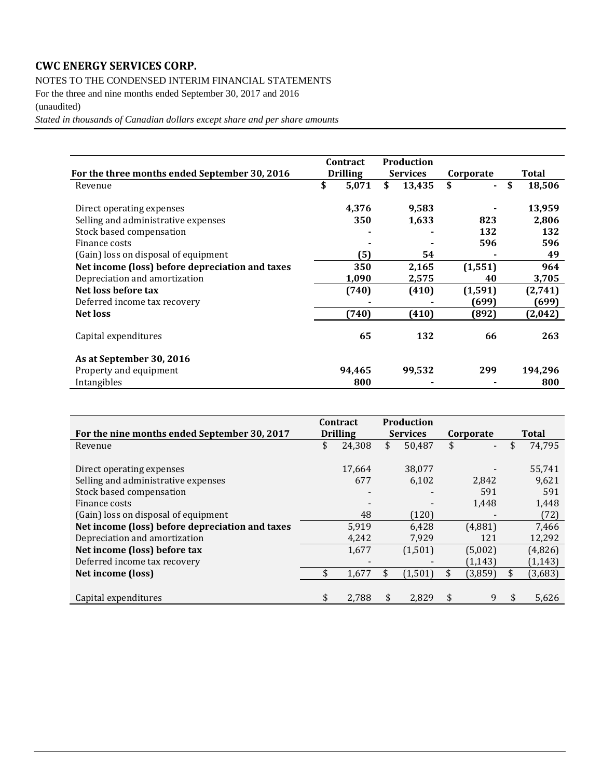NOTES TO THE CONDENSED INTERIM FINANCIAL STATEMENTS

For the three and nine months ended September 30, 2017 and 2016

### (unaudited)

*Stated in thousands of Canadian dollars except share and per share amounts*

|                                                 | <b>Contract</b> |        | <b>Production</b> |                      |              |
|-------------------------------------------------|-----------------|--------|-------------------|----------------------|--------------|
| For the three months ended September 30, 2016   | <b>Drilling</b> |        | <b>Services</b>   | Corporate            | Total        |
| Revenue                                         | \$              | 5,071  | \$<br>13,435      | \$<br>$\blacksquare$ | \$<br>18,506 |
| Direct operating expenses                       |                 | 4,376  | 9,583             |                      | 13,959       |
| Selling and administrative expenses             |                 | 350    | 1,633             | 823                  | 2,806        |
| Stock based compensation                        |                 |        |                   | 132                  | 132          |
| Finance costs                                   |                 |        |                   | 596                  | 596          |
| (Gain) loss on disposal of equipment            |                 | (5)    | 54                |                      | 49           |
| Net income (loss) before depreciation and taxes |                 | 350    | 2,165             | (1, 551)             | 964          |
| Depreciation and amortization                   |                 | 1,090  | 2,575             | 40                   | 3,705        |
| Net loss before tax                             |                 | (740)  | (410)             | (1, 591)             | (2,741)      |
| Deferred income tax recovery                    |                 |        |                   | (699)                | (699)        |
| <b>Net loss</b>                                 |                 | (740)  | (410)             | (892)                | (2,042)      |
| Capital expenditures                            |                 | 65     | 132               | 66                   | 263          |
| As at September 30, 2016                        |                 |        |                   |                      |              |
| Property and equipment                          |                 | 94.465 | 99,532            | 299                  | 194,296      |
| Intangibles                                     |                 | 800    |                   |                      | 800          |

|                                                 | Contract        | <b>Production</b> |           |    |          |
|-------------------------------------------------|-----------------|-------------------|-----------|----|----------|
| For the nine months ended September 30, 2017    | <b>Drilling</b> | <b>Services</b>   | Corporate |    | Total    |
| Revenue                                         | \$<br>24,308    | \$<br>50,487      | \$        | \$ | 74,795   |
|                                                 |                 |                   |           |    |          |
| Direct operating expenses                       | 17,664          | 38,077            |           |    | 55,741   |
| Selling and administrative expenses             | 677             | 6,102             | 2.842     |    | 9,621    |
| Stock based compensation                        |                 |                   | 591       |    | 591      |
| Finance costs                                   |                 |                   | 1,448     |    | 1,448    |
| (Gain) loss on disposal of equipment            | 48              | (120)             |           |    | (72)     |
| Net income (loss) before depreciation and taxes | 5,919           | 6,428             | (4,881)   |    | 7,466    |
| Depreciation and amortization                   | 4,242           | 7,929             | 121       |    | 12,292   |
| Net income (loss) before tax                    | 1,677           | (1,501)           | (5,002)   |    | (4,826)  |
| Deferred income tax recovery                    |                 |                   | (1, 143)  |    | (1, 143) |
| Net income (loss)                               | \$<br>1,677     | (1,501)           | (3,859)   | S  | (3,683)  |
|                                                 |                 |                   |           |    |          |
| Capital expenditures                            | \$<br>2,788     | \$<br>2,829       | \$<br>9   | \$ | 5,626    |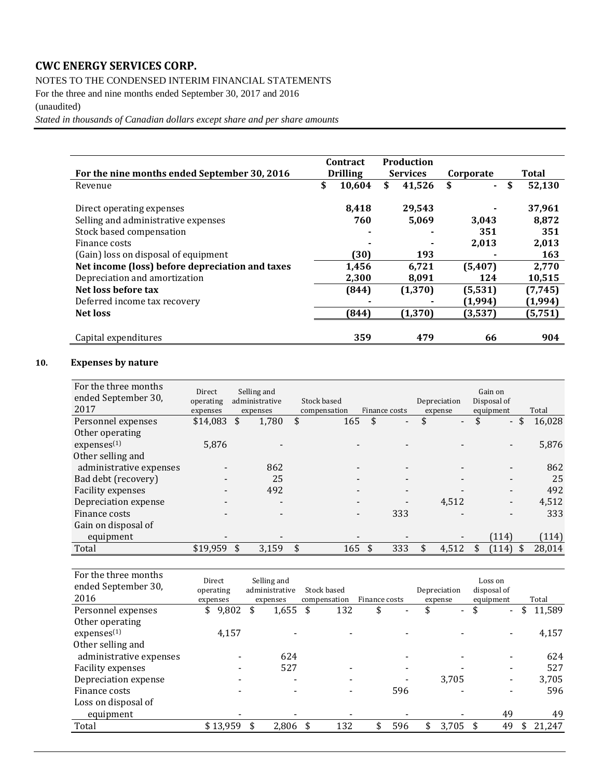### NOTES TO THE CONDENSED INTERIM FINANCIAL STATEMENTS

For the three and nine months ended September 30, 2017 and 2016

### (unaudited)

*Stated in thousands of Canadian dollars except share and per share amounts*

|                                                 | Contract        | Production      |              |              |
|-------------------------------------------------|-----------------|-----------------|--------------|--------------|
| For the nine months ended September 30, 2016    | <b>Drilling</b> | <b>Services</b> | Corporate    | Total        |
| Revenue                                         | \$<br>10,604    | \$<br>41,526    | \$<br>$\sim$ | \$<br>52,130 |
| Direct operating expenses                       | 8,418           | 29,543          |              | 37,961       |
| Selling and administrative expenses             | 760             | 5,069           | 3,043        | 8,872        |
| Stock based compensation                        | ۰               |                 | 351          | 351          |
| Finance costs                                   |                 |                 | 2,013        | 2,013        |
| (Gain) loss on disposal of equipment            | (30)            | 193             |              | 163          |
| Net income (loss) before depreciation and taxes | 1,456           | 6,721           | (5, 407)     | 2,770        |
| Depreciation and amortization                   | 2,300           | 8,091           | 124          | 10,515       |
| Net loss before tax                             | (844)           | (1, 370)        | (5, 531)     | (7, 745)     |
| Deferred income tax recovery                    |                 |                 | (1,994)      | (1,994)      |
| <b>Net loss</b>                                 | (844)           | (1, 370)        | (3,537)      | (5, 751)     |
|                                                 |                 |                 |              |              |
| Capital expenditures                            | 359             | 479             | 66           | 904          |

### **10. Expenses by nature**

| For the three months<br>ended September 30,<br>2017 | Direct<br>operating<br>expenses |    | Selling and<br>administrative<br>expenses | Stock based<br>compensation | Finance costs | Depreciation<br>expense | Gain on<br>Disposal of<br>equipment | Total        |
|-----------------------------------------------------|---------------------------------|----|-------------------------------------------|-----------------------------|---------------|-------------------------|-------------------------------------|--------------|
| Personnel expenses                                  | \$14,083                        | \$ | 1,780                                     | \$<br>165                   | \$            | \$<br>$\blacksquare$    | \$<br>$\sim$                        | \$<br>16,028 |
| Other operating                                     |                                 |    |                                           |                             |               |                         |                                     |              |
| express <sup>(1)</sup>                              | 5.876                           |    |                                           |                             |               |                         |                                     | 5,876        |
| Other selling and                                   |                                 |    |                                           |                             |               |                         |                                     |              |
| administrative expenses                             |                                 |    | 862                                       |                             |               |                         |                                     | 862          |
| Bad debt (recovery)                                 |                                 |    | 25                                        |                             |               |                         |                                     | 25           |
| <b>Facility expenses</b>                            | $\overline{\phantom{0}}$        |    | 492                                       |                             |               |                         | $\overline{\phantom{a}}$            | 492          |
| Depreciation expense                                |                                 |    |                                           |                             |               | 4,512                   |                                     | 4,512        |
| Finance costs                                       |                                 |    |                                           |                             | 333           |                         |                                     | 333          |
| Gain on disposal of                                 |                                 |    |                                           |                             |               |                         |                                     |              |
| equipment                                           |                                 |    |                                           |                             |               |                         | (114)                               | (114)        |
| Total                                               | \$19,959                        | S  | 3,159                                     | \$<br>165                   | 333           | 4,512                   | \$<br>(114)                         | \$<br>28,014 |

| For the three months<br>ended September 30,<br>2016 | Direct<br>operating<br>expenses |    | Selling and<br>administrative<br>expenses | Stock based<br>compensation  | Finance costs |     | Depreciation<br>expense        | Loss on<br>disposal of<br>equipment | Total        |
|-----------------------------------------------------|---------------------------------|----|-------------------------------------------|------------------------------|---------------|-----|--------------------------------|-------------------------------------|--------------|
| Personnel expenses                                  | 9,802<br>\$                     | \$ | 1,655                                     | \$<br>132                    | \$            |     | \$<br>$\overline{\phantom{0}}$ | \$<br>$\blacksquare$                | \$<br>11,589 |
| Other operating                                     |                                 |    |                                           |                              |               |     |                                |                                     |              |
| express <sup>(1)</sup>                              | 4,157                           |    |                                           |                              |               |     |                                |                                     | 4,157        |
| Other selling and                                   |                                 |    |                                           |                              |               |     |                                |                                     |              |
| administrative expenses                             |                                 |    | 624                                       |                              |               |     |                                |                                     | 624          |
| Facility expenses                                   |                                 |    | 527                                       |                              |               |     |                                |                                     | 527          |
| Depreciation expense                                |                                 |    |                                           |                              |               |     | 3,705                          |                                     | 3,705        |
| Finance costs                                       |                                 |    |                                           | $\qquad \qquad \blacksquare$ |               | 596 |                                |                                     | 596          |
| Loss on disposal of                                 |                                 |    |                                           |                              |               |     |                                |                                     |              |
| equipment                                           |                                 |    |                                           |                              |               |     |                                | 49                                  | 49           |
| Total                                               | \$13,959                        | \$ | 2,806                                     | 132                          | \$            | 596 | \$<br>3,705                    | 49                                  | 21,247       |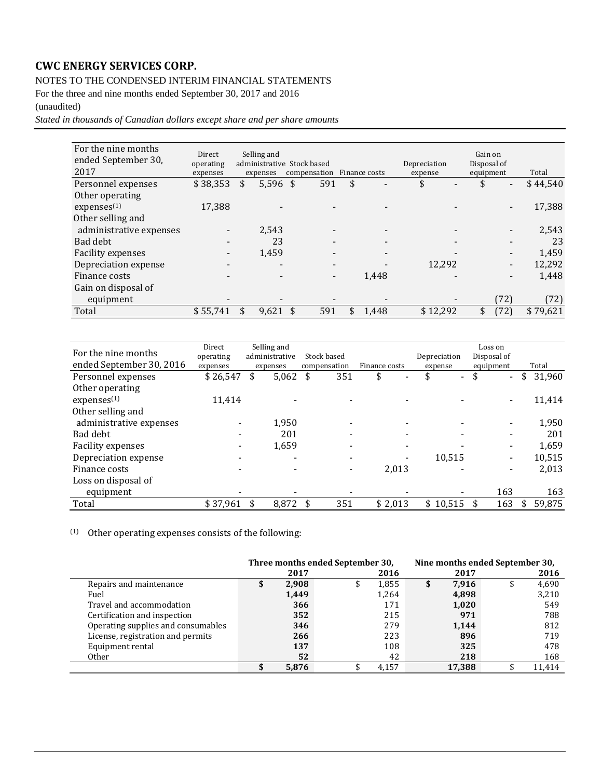### NOTES TO THE CONDENSED INTERIM FINANCIAL STATEMENTS

For the three and nine months ended September 30, 2017 and 2016

### (unaudited)

*Stated in thousands of Canadian dollars except share and per share amounts*

| For the nine months<br>ended September 30,<br>2017 | Direct<br>operating<br>expenses | Selling and<br>administrative Stock based<br>expenses | compensation | Finance costs | Depreciation<br>expense | Gain on<br>Disposal of<br>equipment |                          | Total    |
|----------------------------------------------------|---------------------------------|-------------------------------------------------------|--------------|---------------|-------------------------|-------------------------------------|--------------------------|----------|
| Personnel expenses                                 | \$38,353                        | \$<br>$5,596$ \$                                      | 591          | \$            | \$                      | \$                                  | $\blacksquare$           | \$44,540 |
| Other operating                                    |                                 |                                                       |              |               |                         |                                     |                          |          |
| express <sup>(1)</sup>                             | 17,388                          |                                                       |              |               |                         |                                     | $\overline{\phantom{a}}$ | 17,388   |
| Other selling and                                  |                                 |                                                       |              |               |                         |                                     |                          |          |
| administrative expenses                            |                                 | 2,543                                                 |              |               |                         |                                     |                          | 2,543    |
| Bad debt                                           |                                 | 23                                                    |              |               |                         |                                     |                          | 23       |
| Facility expenses                                  |                                 | 1,459                                                 |              |               |                         |                                     |                          | 1,459    |
| Depreciation expense                               |                                 | $\overline{\phantom{0}}$                              |              |               | 12.292                  |                                     | $\overline{\phantom{a}}$ | 12,292   |
| Finance costs                                      |                                 |                                                       | -            | 1,448         |                         |                                     |                          | 1,448    |
| Gain on disposal of                                |                                 |                                                       |              |               |                         |                                     |                          |          |
| equipment                                          |                                 |                                                       |              |               |                         |                                     | 72)                      | (72)     |
| Total                                              | \$55.741                        | 9,621                                                 | 591          | \$<br>1,448   | \$12,292                | \$                                  | (72)                     | \$79,621 |

| For the nine months<br>ended September 30, 2016 | Direct<br>operating<br>expenses | Selling and<br>administrative<br>expenses |       | Stock based<br>compensation |                          |    | Finance costs | Depreciation<br>expense | Loss on<br>Disposal of<br>equipment | Total        |
|-------------------------------------------------|---------------------------------|-------------------------------------------|-------|-----------------------------|--------------------------|----|---------------|-------------------------|-------------------------------------|--------------|
| Personnel expenses                              | \$26,547                        | \$                                        | 5,062 | \$                          | 351                      | \$ |               | \$<br>$\sim$            | \$<br>$\blacksquare$                | \$<br>31,960 |
| Other operating                                 |                                 |                                           |       |                             |                          |    |               |                         |                                     |              |
| expenses <sup>(1)</sup>                         | 11,414                          |                                           |       |                             |                          |    |               |                         | $\blacksquare$                      | 11,414       |
| Other selling and                               |                                 |                                           |       |                             |                          |    |               |                         |                                     |              |
| administrative expenses                         |                                 |                                           | 1,950 |                             |                          |    |               |                         |                                     | 1,950        |
| Bad debt                                        |                                 |                                           | 201   |                             | $\overline{\phantom{a}}$ |    |               |                         | $\overline{\phantom{0}}$            | 201          |
| <b>Facility expenses</b>                        |                                 |                                           | 1,659 |                             | $\overline{\phantom{a}}$ |    |               |                         | $\overline{\phantom{a}}$            | 1,659        |
| Depreciation expense                            |                                 |                                           |       |                             |                          |    |               | 10,515                  | $\blacksquare$                      | 10,515       |
| Finance costs                                   |                                 |                                           |       |                             |                          |    | 2,013         |                         | $\overline{\phantom{a}}$            | 2,013        |
| Loss on disposal of                             |                                 |                                           |       |                             |                          |    |               |                         |                                     |              |
| equipment                                       |                                 |                                           |       |                             |                          |    |               |                         | 163                                 | 163          |
| Total                                           | \$37,961                        |                                           | 8,872 |                             | 351                      |    | \$2,013       | \$10,515                | 163                                 | 59,875       |

### (1) Other operating expenses consists of the following:

|                                    |   |       | Three months ended September 30, | Nine months ended September 30, |   |        |    |        |  |  |
|------------------------------------|---|-------|----------------------------------|---------------------------------|---|--------|----|--------|--|--|
|                                    |   | 2017  |                                  | 2016                            |   | 2017   |    | 2016   |  |  |
| Repairs and maintenance            | ъ | 2,908 | Ф                                | 1,855                           | J | 7,916  | \$ | 4,690  |  |  |
| Fuel                               |   | 1,449 |                                  | 1,264                           |   | 4,898  |    | 3,210  |  |  |
| Travel and accommodation           |   | 366   |                                  | 171                             |   | 1,020  |    | 549    |  |  |
| Certification and inspection       |   | 352   |                                  | 215                             |   | 971    |    | 788    |  |  |
| Operating supplies and consumables |   | 346   |                                  | 279                             |   | 1,144  |    | 812    |  |  |
| License, registration and permits  |   | 266   |                                  | 223                             |   | 896    |    | 719    |  |  |
| Equipment rental                   |   | 137   |                                  | 108                             |   | 325    |    | 478    |  |  |
| <b>Other</b>                       |   | 52    |                                  | 42                              |   | 218    |    | 168    |  |  |
|                                    |   | 5.876 |                                  | 4,157                           |   | 17,388 |    | 11,414 |  |  |